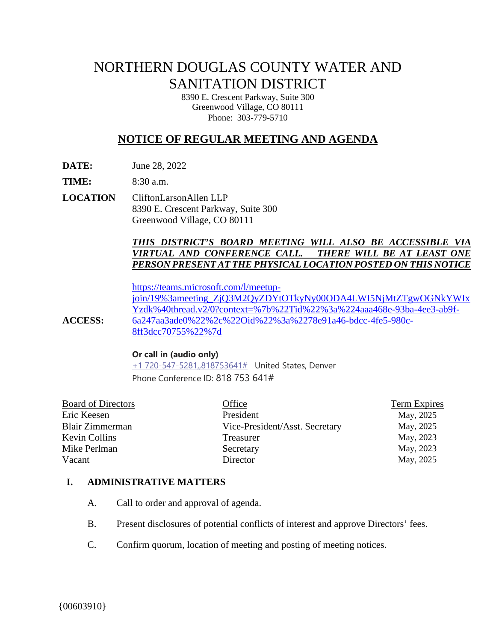# NORTHERN DOUGLAS COUNTY WATER AND SANITATION DISTRICT

8390 E. Crescent Parkway, Suite 300 Greenwood Village, CO 80111 Phone: 303-779-5710

# **NOTICE OF REGULAR MEETING AND AGENDA**

**DATE:** June 28, 2022

**TIME:** 8:30 a.m.

**LOCATION** CliftonLarsonAllen LLP 8390 E. Crescent Parkway, Suite 300 Greenwood Village, CO 80111

#### *THIS DISTRICT'S BOARD MEETING WILL ALSO BE ACCESSIBLE VIA VIRTUAL AND CONFERENCE CALL. THERE WILL BE AT LEAST ONE PERSON PRESENT AT THE PHYSICAL LOCATION POSTED ON THIS NOTICE*

**ACCESS:** [https://teams.microsoft.com/l/meetup](https://teams.microsoft.com/l/meetup-join/19%3ameeting_ZjQ3M2QyZDYtOTkyNy00ODA4LWI5NjMtZTgwOGNkYWIxYzdk%40thread.v2/0?context=%7b%22Tid%22%3a%224aaa468e-93ba-4ee3-ab9f-6a247aa3ade0%22%2c%22Oid%22%3a%2278e91a46-bdcc-4fe5-980c-8ff3dcc70755%22%7d)[join/19%3ameeting\\_ZjQ3M2QyZDYtOTkyNy00ODA4LWI5NjMtZTgwOGNkYWIx](https://teams.microsoft.com/l/meetup-join/19%3ameeting_ZjQ3M2QyZDYtOTkyNy00ODA4LWI5NjMtZTgwOGNkYWIxYzdk%40thread.v2/0?context=%7b%22Tid%22%3a%224aaa468e-93ba-4ee3-ab9f-6a247aa3ade0%22%2c%22Oid%22%3a%2278e91a46-bdcc-4fe5-980c-8ff3dcc70755%22%7d) [Yzdk%40thread.v2/0?context=%7b%22Tid%22%3a%224aaa468e-93ba-4ee3-ab9f-](https://teams.microsoft.com/l/meetup-join/19%3ameeting_ZjQ3M2QyZDYtOTkyNy00ODA4LWI5NjMtZTgwOGNkYWIxYzdk%40thread.v2/0?context=%7b%22Tid%22%3a%224aaa468e-93ba-4ee3-ab9f-6a247aa3ade0%22%2c%22Oid%22%3a%2278e91a46-bdcc-4fe5-980c-8ff3dcc70755%22%7d)[6a247aa3ade0%22%2c%22Oid%22%3a%2278e91a46-bdcc-4fe5-980c-](https://teams.microsoft.com/l/meetup-join/19%3ameeting_ZjQ3M2QyZDYtOTkyNy00ODA4LWI5NjMtZTgwOGNkYWIxYzdk%40thread.v2/0?context=%7b%22Tid%22%3a%224aaa468e-93ba-4ee3-ab9f-6a247aa3ade0%22%2c%22Oid%22%3a%2278e91a46-bdcc-4fe5-980c-8ff3dcc70755%22%7d)[8ff3dcc70755%22%7d](https://teams.microsoft.com/l/meetup-join/19%3ameeting_ZjQ3M2QyZDYtOTkyNy00ODA4LWI5NjMtZTgwOGNkYWIxYzdk%40thread.v2/0?context=%7b%22Tid%22%3a%224aaa468e-93ba-4ee3-ab9f-6a247aa3ade0%22%2c%22Oid%22%3a%2278e91a46-bdcc-4fe5-980c-8ff3dcc70755%22%7d)

#### **Or call in (audio only)**

[+1 720-547-5281,,818753641#](tel:+17205475281,,818753641#%20) United States, Denver Phone Conference ID: 818 753 641#

| Office                         | <b>Term Expires</b> |
|--------------------------------|---------------------|
| President                      | May, 2025           |
| Vice-President/Asst. Secretary | May, 2025           |
| Treasurer                      | May, 2023           |
| Secretary                      | May, 2023           |
| Director                       | May, 2025           |
|                                |                     |

# **I. ADMINISTRATIVE MATTERS**

- A. Call to order and approval of agenda.
- B. Present disclosures of potential conflicts of interest and approve Directors' fees.
- C. Confirm quorum, location of meeting and posting of meeting notices.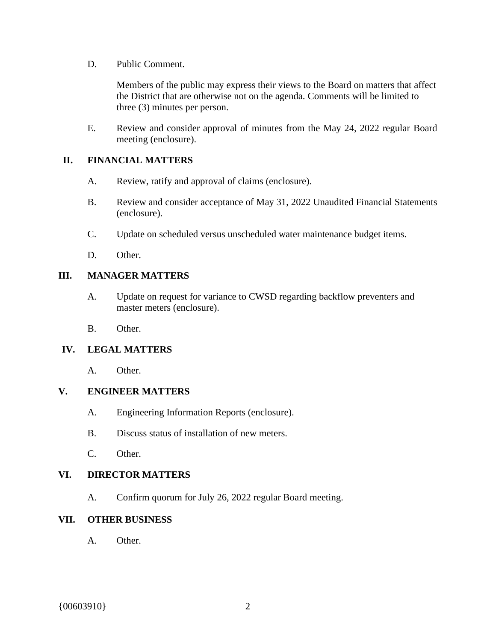D. Public Comment.

Members of the public may express their views to the Board on matters that affect the District that are otherwise not on the agenda. Comments will be limited to three (3) minutes per person.

E. Review and consider approval of minutes from the May 24, 2022 regular Board meeting (enclosure).

#### **II. FINANCIAL MATTERS**

- A. Review, ratify and approval of claims (enclosure).
- B. Review and consider acceptance of May 31, 2022 Unaudited Financial Statements (enclosure).
- C. Update on scheduled versus unscheduled water maintenance budget items.
- D. Other.

# **III. MANAGER MATTERS**

- A. Update on request for variance to CWSD regarding backflow preventers and master meters (enclosure).
- B. Other.

# **IV. LEGAL MATTERS**

A. Other.

# **V. ENGINEER MATTERS**

- A. Engineering Information Reports (enclosure).
- B. Discuss status of installation of new meters.
- C. Other.

#### **VI. DIRECTOR MATTERS**

A. Confirm quorum for July 26, 2022 regular Board meeting.

# **VII. OTHER BUSINESS**

A. Other.